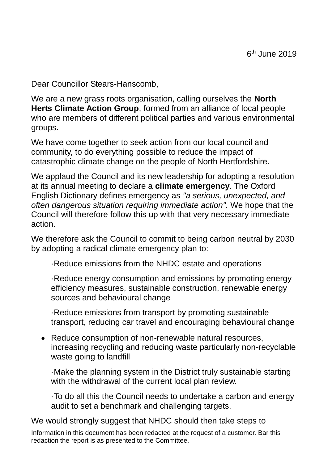Dear Councillor Stears-Hanscomb,

We are a new grass roots organisation, calling ourselves the **North Herts Climate Action Group**, formed from an alliance of local people who are members of different political parties and various environmental groups.

We have come together to seek action from our local council and community, to do everything possible to reduce the impact of catastrophic climate change on the people of North Hertfordshire.

We applaud the Council and its new leadership for adopting a resolution at its annual meeting to declare a **climate emergency**. The Oxford English Dictionary defines emergency as *"a serious, unexpected, and often dangerous situation requiring immediate action".* We hope that the Council will therefore follow this up with that very necessary immediate action.

We therefore ask the Council to commit to being carbon neutral by 2030 by adopting a radical climate emergency plan to:

·Reduce emissions from the NHDC estate and operations

·Reduce energy consumption and emissions by promoting energy efficiency measures, sustainable construction, renewable energy sources and behavioural change

·Reduce emissions from transport by promoting sustainable transport, reducing car travel and encouraging behavioural change

• Reduce consumption of non-renewable natural resources, increasing recycling and reducing waste particularly non-recyclable waste going to landfill

·Make the planning system in the District truly sustainable starting with the withdrawal of the current local plan review.

·To do all this the Council needs to undertake a carbon and energy audit to set a benchmark and challenging targets.

We would strongly suggest that NHDC should then take steps to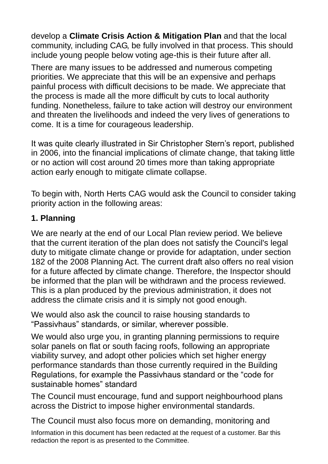develop a **Climate Crisis Action & Mitigation Plan** and that the local community, including CAG, be fully involved in that process. This should include young people below voting age-this is their future after all.

There are many issues to be addressed and numerous competing priorities. We appreciate that this will be an expensive and perhaps painful process with difficult decisions to be made. We appreciate that the process is made all the more difficult by cuts to local authority funding. Nonetheless, failure to take action will destroy our environment and threaten the livelihoods and indeed the very lives of generations to come. It is a time for courageous leadership.

It was quite clearly illustrated in Sir Christopher Stern's report, published in 2006, into the financial implications of climate change, that taking little or no action will cost around 20 times more than taking appropriate action early enough to mitigate climate collapse.

To begin with, North Herts CAG would ask the Council to consider taking priority action in the following areas:

## **1. Planning**

We are nearly at the end of our Local Plan review period. We believe that the current iteration of the plan does not satisfy the Council's legal duty to mitigate climate change or provide for adaptation, under section 182 of the 2008 Planning Act. The current draft also offers no real vision for a future affected by climate change. Therefore, the Inspector should be informed that the plan will be withdrawn and the process reviewed. This is a plan produced by the previous administration, it does not address the climate crisis and it is simply not good enough.

We would also ask the council to raise housing standards to "Passivhaus" standards, or similar, wherever possible.

We would also urge you, in granting planning permissions to require solar panels on flat or south facing roofs, following an appropriate viability survey, and adopt other policies which set higher energy performance standards than those currently required in the Building Regulations, for example the Passivhaus standard or the "code for sustainable homes" standard

The Council must encourage, fund and support neighbourhood plans across the District to impose higher environmental standards.

The Council must also focus more on demanding, monitoring and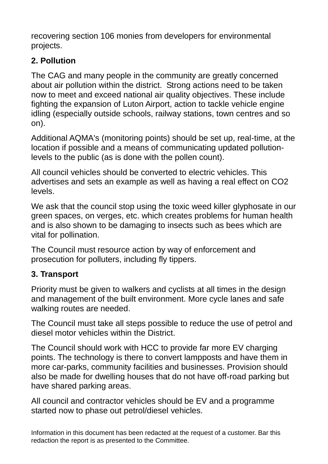recovering section 106 monies from developers for environmental projects.

# **2. Pollution**

The CAG and many people in the community are greatly concerned about air pollution within the district. Strong actions need to be taken now to meet and exceed national air quality objectives. These include fighting the expansion of Luton Airport, action to tackle vehicle engine idling (especially outside schools, railway stations, town centres and so on).

Additional AQMA's (monitoring points) should be set up, real-time, at the location if possible and a means of communicating updated pollutionlevels to the public (as is done with the pollen count).

All council vehicles should be converted to electric vehicles. This advertises and sets an example as well as having a real effect on CO2 levels.

We ask that the council stop using the toxic weed killer glyphosate in our green spaces, on verges, etc. which creates problems for human health and is also shown to be damaging to insects such as bees which are vital for pollination.

The Council must resource action by way of enforcement and prosecution for polluters, including fly tippers.

## **3. Transport**

Priority must be given to walkers and cyclists at all times in the design and management of the built environment. More cycle lanes and safe walking routes are needed.

The Council must take all steps possible to reduce the use of petrol and diesel motor vehicles within the District.

The Council should work with HCC to provide far more EV charging points. The technology is there to convert lampposts and have them in more car-parks, community facilities and businesses. Provision should also be made for dwelling houses that do not have off-road parking but have shared parking areas.

All council and contractor vehicles should be EV and a programme started now to phase out petrol/diesel vehicles.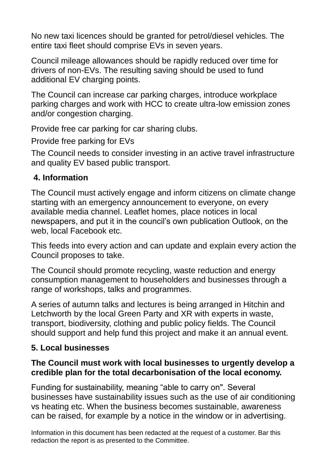No new taxi licences should be granted for petrol/diesel vehicles. The entire taxi fleet should comprise EVs in seven years.

Council mileage allowances should be rapidly reduced over time for drivers of non-EVs. The resulting saving should be used to fund additional EV charging points.

The Council can increase car parking charges, introduce workplace parking charges and work with HCC to create ultra-low emission zones and/or congestion charging.

Provide free car parking for car sharing clubs.

Provide free parking for EVs

The Council needs to consider investing in an active travel infrastructure and quality EV based public transport.

## **4. Information**

The Council must actively engage and inform citizens on climate change starting with an emergency announcement to everyone, on every available media channel. Leaflet homes, place notices in local newspapers, and put it in the council's own publication Outlook, on the web, local Facebook etc.

This feeds into every action and can update and explain every action the Council proposes to take.

The Council should promote recycling, waste reduction and energy consumption management to householders and businesses through a range of workshops, talks and programmes.

A series of autumn talks and lectures is being arranged in Hitchin and Letchworth by the local Green Party and XR with experts in waste, transport, biodiversity, clothing and public policy fields. The Council should support and help fund this project and make it an annual event.

### **5. Local businesses**

#### **The Council must work with local businesses to urgently develop a credible plan for the total decarbonisation of the local economy.**

Funding for sustainability, meaning "able to carry on". Several businesses have sustainability issues such as the use of air conditioning vs heating etc. When the business becomes sustainable, awareness can be raised, for example by a notice in the window or in advertising.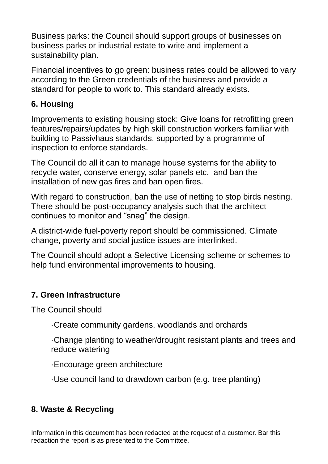Business parks: the Council should support groups of businesses on business parks or industrial estate to write and implement a sustainability plan.

Financial incentives to go green: business rates could be allowed to vary according to the Green credentials of the business and provide a standard for people to work to. This standard already exists.

#### **6. Housing**

Improvements to existing housing stock: Give loans for retrofitting green features/repairs/updates by high skill construction workers familiar with building to Passivhaus standards, supported by a programme of inspection to enforce standards.

The Council do all it can to manage house systems for the ability to recycle water, conserve energy, solar panels etc. and ban the installation of new gas fires and ban open fires.

With regard to construction, ban the use of netting to stop birds nesting. There should be post-occupancy analysis such that the architect continues to monitor and "snag" the design.

A district-wide fuel-poverty report should be commissioned. Climate change, poverty and social justice issues are interlinked.

The Council should adopt a Selective Licensing scheme or schemes to help fund environmental improvements to housing.

### **7. Green Infrastructure**

The Council should

- ·Create community gardens, woodlands and orchards
- ·Change planting to weather/drought resistant plants and trees and reduce watering
- ·Encourage green architecture
- ·Use council land to drawdown carbon (e.g. tree planting)

### **8. Waste & Recycling**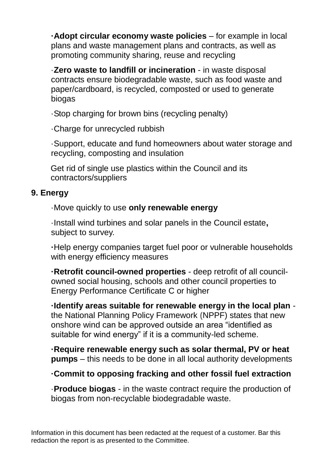**·Adopt circular economy waste policies** – for example in local plans and waste management plans and contracts, as well as promoting community sharing, reuse and recycling

·**Zero waste to landfill or incineration** - in waste disposal contracts ensure biodegradable waste, such as food waste and paper/cardboard, is recycled, composted or used to generate biogas

·Stop charging for brown bins (recycling penalty)

·Charge for unrecycled rubbish

·Support, educate and fund homeowners about water storage and recycling, composting and insulation

Get rid of single use plastics within the Council and its contractors/suppliers

#### **9. Energy**

·Move quickly to use **only renewable energy**

·Install wind turbines and solar panels in the Council estate**,**  subject to survey.

**·**Help energy companies target fuel poor or vulnerable households with energy efficiency measures

**·Retrofit council-owned properties** - deep retrofit of all councilowned social housing, schools and other council properties to Energy Performance Certificate C or higher

**·Identify areas suitable for renewable energy in the local plan** the National Planning Policy Framework **(**NPPF) states that new onshore wind can be approved outside an area "identified as suitable for wind energy" if it is a community-led scheme.

**·Require renewable energy such as solar thermal, PV or heat pumps** – this needs to be done in all local authority developments

### **·Commit to opposing fracking and other fossil fuel extraction**

·**Produce biogas** - in the waste contract require the production of biogas from non-recyclable biodegradable waste.